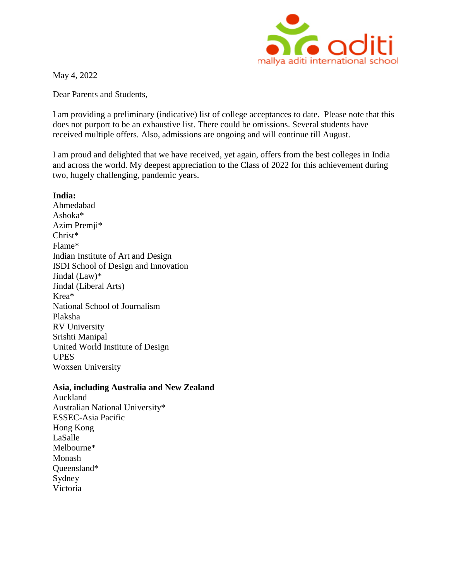

May 4, 2022

Dear Parents and Students,

I am providing a preliminary (indicative) list of college acceptances to date. Please note that this does not purport to be an exhaustive list. There could be omissions. Several students have received multiple offers. Also, admissions are ongoing and will continue till August.

I am proud and delighted that we have received, yet again, offers from the best colleges in India and across the world. My deepest appreciation to the Class of 2022 for this achievement during two, hugely challenging, pandemic years.

## **India:**

Ahmedabad Ashoka\* Azim Premji\* Christ\* Flame\* Indian Institute of Art and Design ISDI School of Design and Innovation Jindal (Law)\* Jindal (Liberal Arts) Krea\* National School of Journalism Plaksha RV University Srishti Manipal United World Institute of Design UPES Woxsen University

## **Asia, including Australia and New Zealand**

Auckland Australian National University\* ESSEC-Asia Pacific Hong Kong LaSalle Melbourne\* Monash Queensland\* Sydney Victoria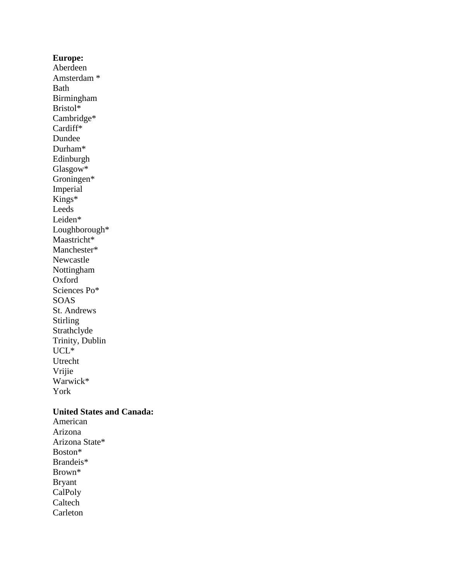## **Europe:** Aberdeen Amsterdam \* Bath Birmingham Bristol\* Cambridge\* Cardiff\* Dundee Durham\* Edinburgh Glasgow\* Groningen\* Imperial Kings\* Leeds Leiden\* Loughborough\* Maastricht\* Manchester\* Newcastle Nottingham Oxford Sciences Po\* SOAS St. Andrews Stirling Strathclyde Trinity, Dublin UCL\* Utrecht Vrijie Warwick\* York

## **United States and Canada:**

American Arizona Arizona State\* Boston\* Brandeis\* Brown\* Bryant CalPoly Caltech Carleton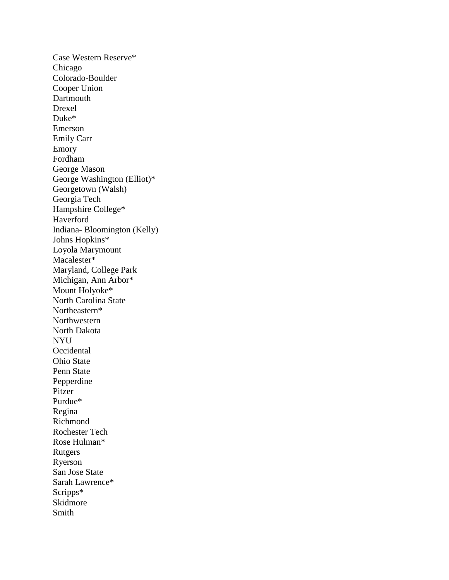Case Western Reserve\* Chicago Colorado-Boulder Cooper Union Dartmouth Drexel Duke\* Emerson Emily Carr Emory Fordham George Mason George Washington (Elliot)\* Georgetown (Walsh) Georgia Tech Hampshire College\* Haverford Indiana- Bloomington (Kelly) Johns Hopkins\* Loyola Marymount Macalester\* Maryland, College Park Michigan, Ann Arbor\* Mount Holyoke\* North Carolina State Northeastern\* Northwestern North Dakota NYU **Occidental** Ohio State Penn State Pepperdine Pitzer Purdue\* Regina Richmond Rochester Tech Rose Hulman\* Rutgers Ryerson San Jose State Sarah Lawrence\* Scripps\* Skidmore Smith